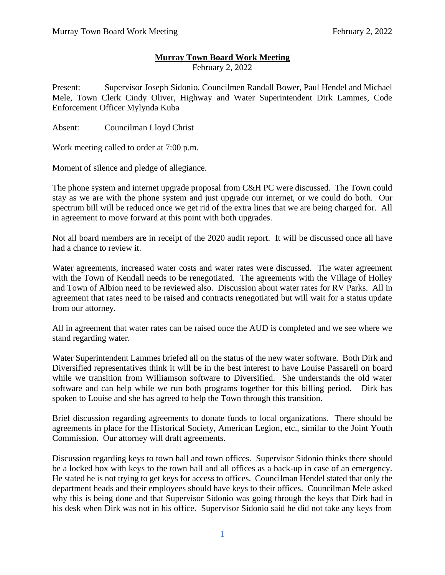## **Murray Town Board Work Meeting**

February 2, 2022

Present: Supervisor Joseph Sidonio, Councilmen Randall Bower, Paul Hendel and Michael Mele, Town Clerk Cindy Oliver, Highway and Water Superintendent Dirk Lammes, Code Enforcement Officer Mylynda Kuba

Absent: Councilman Lloyd Christ

Work meeting called to order at 7:00 p.m.

Moment of silence and pledge of allegiance.

The phone system and internet upgrade proposal from C&H PC were discussed. The Town could stay as we are with the phone system and just upgrade our internet, or we could do both. Our spectrum bill will be reduced once we get rid of the extra lines that we are being charged for. All in agreement to move forward at this point with both upgrades.

Not all board members are in receipt of the 2020 audit report. It will be discussed once all have had a chance to review it.

Water agreements, increased water costs and water rates were discussed. The water agreement with the Town of Kendall needs to be renegotiated. The agreements with the Village of Holley and Town of Albion need to be reviewed also. Discussion about water rates for RV Parks. All in agreement that rates need to be raised and contracts renegotiated but will wait for a status update from our attorney.

All in agreement that water rates can be raised once the AUD is completed and we see where we stand regarding water.

Water Superintendent Lammes briefed all on the status of the new water software. Both Dirk and Diversified representatives think it will be in the best interest to have Louise Passarell on board while we transition from Williamson software to Diversified. She understands the old water software and can help while we run both programs together for this billing period. Dirk has spoken to Louise and she has agreed to help the Town through this transition.

Brief discussion regarding agreements to donate funds to local organizations. There should be agreements in place for the Historical Society, American Legion, etc., similar to the Joint Youth Commission. Our attorney will draft agreements.

Discussion regarding keys to town hall and town offices. Supervisor Sidonio thinks there should be a locked box with keys to the town hall and all offices as a back-up in case of an emergency. He stated he is not trying to get keys for access to offices. Councilman Hendel stated that only the department heads and their employees should have keys to their offices. Councilman Mele asked why this is being done and that Supervisor Sidonio was going through the keys that Dirk had in his desk when Dirk was not in his office. Supervisor Sidonio said he did not take any keys from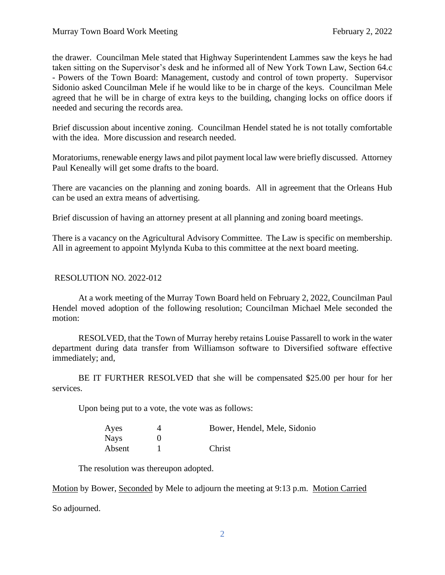the drawer. Councilman Mele stated that Highway Superintendent Lammes saw the keys he had taken sitting on the Supervisor's desk and he informed all of New York Town Law, Section 64.c - Powers of the Town Board: Management, custody and control of town property. Supervisor Sidonio asked Councilman Mele if he would like to be in charge of the keys. Councilman Mele agreed that he will be in charge of extra keys to the building, changing locks on office doors if needed and securing the records area.

Brief discussion about incentive zoning. Councilman Hendel stated he is not totally comfortable with the idea. More discussion and research needed.

Moratoriums, renewable energy laws and pilot payment local law were briefly discussed. Attorney Paul Keneally will get some drafts to the board.

There are vacancies on the planning and zoning boards. All in agreement that the Orleans Hub can be used an extra means of advertising.

Brief discussion of having an attorney present at all planning and zoning board meetings.

There is a vacancy on the Agricultural Advisory Committee. The Law is specific on membership. All in agreement to appoint Mylynda Kuba to this committee at the next board meeting.

## RESOLUTION NO. 2022-012

At a work meeting of the Murray Town Board held on February 2, 2022, Councilman Paul Hendel moved adoption of the following resolution; Councilman Michael Mele seconded the motion:

RESOLVED, that the Town of Murray hereby retains Louise Passarell to work in the water department during data transfer from Williamson software to Diversified software effective immediately; and,

BE IT FURTHER RESOLVED that she will be compensated \$25.00 per hour for her services.

Upon being put to a vote, the vote was as follows:

| Ayes        | Bower, Hendel, Mele, Sidonio |
|-------------|------------------------------|
| <b>Nays</b> |                              |
| Absent      | Christ                       |

The resolution was thereupon adopted.

Motion by Bower, Seconded by Mele to adjourn the meeting at 9:13 p.m. Motion Carried

So adjourned.